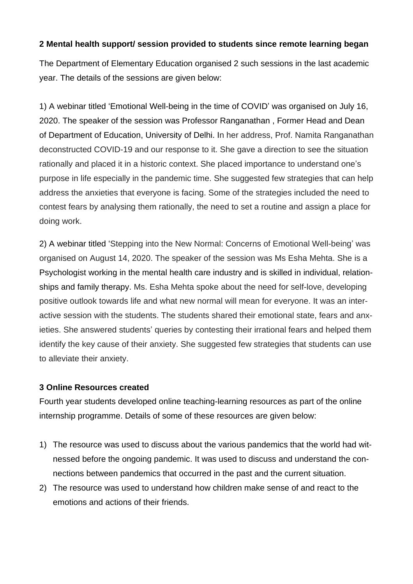## **2 Mental health support/ session provided to students since remote learning began**

The Department of Elementary Education organised 2 such sessions in the last academic year. The details of the sessions are given below:

1) A webinar titled 'Emotional Well-being in the time of COVID' was organised on July 16, 2020. The speaker of the session was Professor Ranganathan , Former Head and Dean of Department of Education, University of Delhi. In her address, Prof. Namita Ranganathan deconstructed COVID-19 and our response to it. She gave a direction to see the situation rationally and placed it in a historic context. She placed importance to understand one's purpose in life especially in the pandemic time. She suggested few strategies that can help address the anxieties that everyone is facing. Some of the strategies included the need to contest fears by analysing them rationally, the need to set a routine and assign a place for doing work.

2) A webinar titled 'Stepping into the New Normal: Concerns of Emotional Well-being' was organised on August 14, 2020. The speaker of the session was Ms Esha Mehta. She is a Psychologist working in the mental health care industry and is skilled in individual, relationships and family therapy. Ms. Esha Mehta spoke about the need for self-love, developing positive outlook towards life and what new normal will mean for everyone. It was an interactive session with the students. The students shared their emotional state, fears and anxieties. She answered students' queries by contesting their irrational fears and helped them identify the key cause of their anxiety. She suggested few strategies that students can use to alleviate their anxiety.

## **3 Online Resources created**

Fourth year students developed online teaching-learning resources as part of the online internship programme. Details of some of these resources are given below:

- 1) The resource was used to discuss about the various pandemics that the world had witnessed before the ongoing pandemic. It was used to discuss and understand the connections between pandemics that occurred in the past and the current situation.
- 2) The resource was used to understand how children make sense of and react to the emotions and actions of their friends.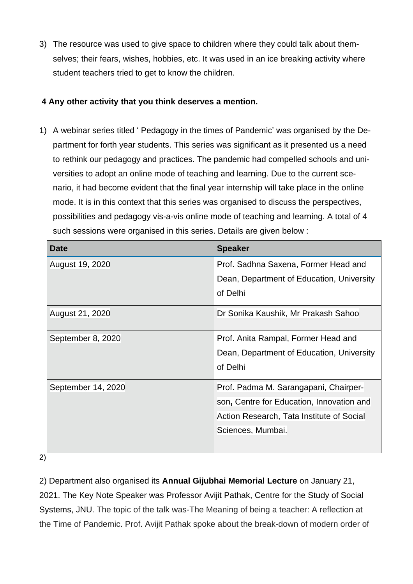3) The resource was used to give space to children where they could talk about themselves; their fears, wishes, hobbies, etc. It was used in an ice breaking activity where student teachers tried to get to know the children.

## **4 Any other activity that you think deserves a mention.**

1) A webinar series titled ' Pedagogy in the times of Pandemic' was organised by the Department for forth year students. This series was significant as it presented us a need to rethink our pedagogy and practices. The pandemic had compelled schools and universities to adopt an online mode of teaching and learning. Due to the current scenario, it had become evident that the final year internship will take place in the online mode. It is in this context that this series was organised to discuss the perspectives, possibilities and pedagogy vis-a-vis online mode of teaching and learning. A total of 4 such sessions were organised in this series. Details are given below :

| <b>Date</b>        | <b>Speaker</b>                            |  |
|--------------------|-------------------------------------------|--|
| August 19, 2020    | Prof. Sadhna Saxena, Former Head and      |  |
|                    | Dean, Department of Education, University |  |
|                    | of Delhi                                  |  |
| August 21, 2020    | Dr Sonika Kaushik, Mr Prakash Sahoo       |  |
|                    |                                           |  |
| September 8, 2020  | Prof. Anita Rampal, Former Head and       |  |
|                    | Dean, Department of Education, University |  |
|                    | of Delhi                                  |  |
| September 14, 2020 | Prof. Padma M. Sarangapani, Chairper-     |  |
|                    | son, Centre for Education, Innovation and |  |
|                    | Action Research, Tata Institute of Social |  |
|                    | Sciences, Mumbai.                         |  |

2)

2) Department also organised its **Annual Gijubhai Memorial Lecture** on January 21, 2021. The Key Note Speaker was Professor Avijit Pathak, Centre for the Study of Social Systems, JNU. The topic of the talk was-The Meaning of being a teacher: A reflection at the Time of Pandemic. Prof. Avijit Pathak spoke about the break-down of modern order of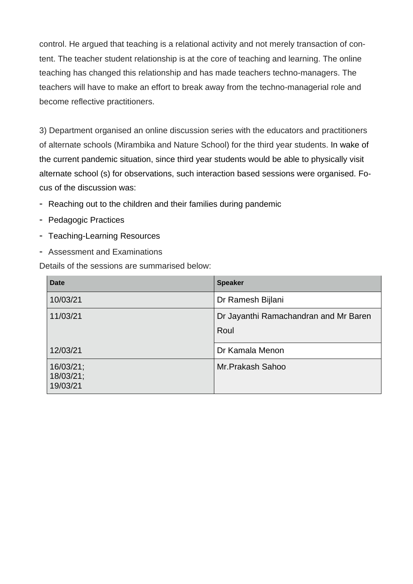control. He argued that teaching is a relational activity and not merely transaction of content. The teacher student relationship is at the core of teaching and learning. The online teaching has changed this relationship and has made teachers techno-managers. The teachers will have to make an effort to break away from the techno-managerial role and become reflective practitioners.

3) Department organised an online discussion series with the educators and practitioners of alternate schools (Mirambika and Nature School) for the third year students. In wake of the current pandemic situation, since third year students would be able to physically visit alternate school (s) for observations, such interaction based sessions were organised. Focus of the discussion was:

- Reaching out to the children and their families during pandemic
- Pedagogic Practices
- Teaching-Learning Resources
- Assessment and Examinations

Details of the sessions are summarised below:

| <b>Date</b>                        | <b>Speaker</b>                                |  |
|------------------------------------|-----------------------------------------------|--|
| 10/03/21                           | Dr Ramesh Bijlani                             |  |
| 11/03/21                           | Dr Jayanthi Ramachandran and Mr Baren<br>Roul |  |
| 12/03/21                           | Dr Kamala Menon                               |  |
| 16/03/21;<br>18/03/21;<br>19/03/21 | Mr.Prakash Sahoo                              |  |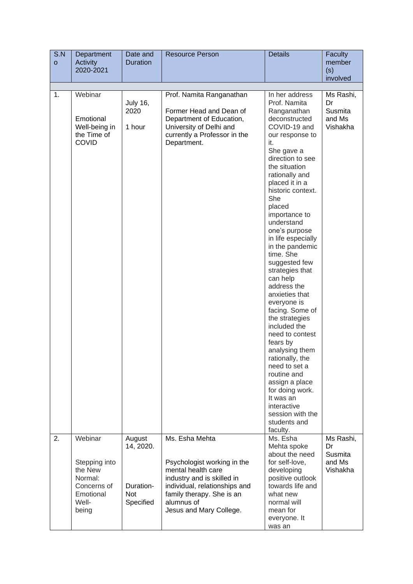| S.N<br>$\mathbf{o}$ | Department<br><b>Activity</b>                                        | Date and<br><b>Duration</b>       | <b>Resource Person</b>                                                                                                                                    | <b>Details</b>                                                                                                                                                                                                                                                                                                                                                                                                                                                                                                                                                                                                                                                                                                        | Faculty<br>member                                |
|---------------------|----------------------------------------------------------------------|-----------------------------------|-----------------------------------------------------------------------------------------------------------------------------------------------------------|-----------------------------------------------------------------------------------------------------------------------------------------------------------------------------------------------------------------------------------------------------------------------------------------------------------------------------------------------------------------------------------------------------------------------------------------------------------------------------------------------------------------------------------------------------------------------------------------------------------------------------------------------------------------------------------------------------------------------|--------------------------------------------------|
|                     | 2020-2021                                                            |                                   |                                                                                                                                                           |                                                                                                                                                                                                                                                                                                                                                                                                                                                                                                                                                                                                                                                                                                                       | (s)                                              |
|                     |                                                                      |                                   |                                                                                                                                                           |                                                                                                                                                                                                                                                                                                                                                                                                                                                                                                                                                                                                                                                                                                                       | involved                                         |
| 1.                  | Webinar<br>Emotional<br>Well-being in<br>the Time of<br><b>COVID</b> | <b>July 16,</b><br>2020<br>1 hour | Prof. Namita Ranganathan<br>Former Head and Dean of<br>Department of Education,<br>University of Delhi and<br>currently a Professor in the<br>Department. | In her address<br>Prof. Namita<br>Ranganathan<br>deconstructed<br>COVID-19 and<br>our response to<br>it.<br>She gave a<br>direction to see<br>the situation<br>rationally and<br>placed it in a<br>historic context.<br>She<br>placed<br>importance to<br>understand<br>one's purpose<br>in life especially<br>in the pandemic<br>time. She<br>suggested few<br>strategies that<br>can help<br>address the<br>anxieties that<br>everyone is<br>facing. Some of<br>the strategies<br>included the<br>need to contest<br>fears by<br>analysing them<br>rationally, the<br>need to set a<br>routine and<br>assign a place<br>for doing work.<br>It was an<br>interactive<br>session with the<br>students and<br>faculty. | Ms Rashi,<br>Dr<br>Susmita<br>and Ms<br>Vishakha |
| 2.                  | Webinar<br>Stepping into<br>the New                                  | August<br>14, 2020.               | Ms. Esha Mehta<br>Psychologist working in the<br>mental health care                                                                                       | Ms. Esha<br>Mehta spoke<br>about the need<br>for self-love,<br>developing                                                                                                                                                                                                                                                                                                                                                                                                                                                                                                                                                                                                                                             | Ms Rashi,<br>Dr<br>Susmita<br>and Ms<br>Vishakha |
|                     | Normal:<br>Concerns of<br>Emotional<br>Well-<br>being                | Duration-<br>Not<br>Specified     | industry and is skilled in<br>individual, relationships and<br>family therapy. She is an<br>alumnus of<br>Jesus and Mary College.                         | positive outlook<br>towards life and<br>what new<br>normal will<br>mean for<br>everyone. It<br>was an                                                                                                                                                                                                                                                                                                                                                                                                                                                                                                                                                                                                                 |                                                  |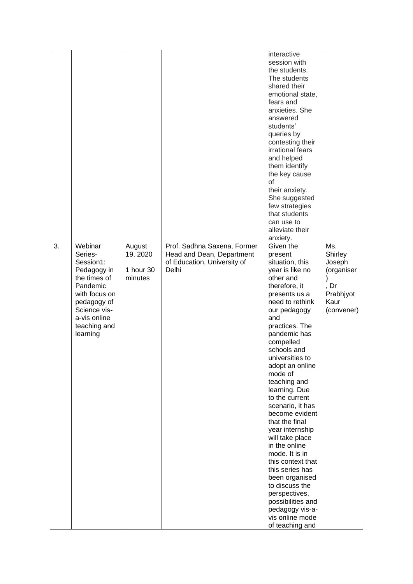|    |                                                                                                                                                                        |                                            |                                                                                                  | interactive<br>session with<br>the students.<br>The students<br>shared their<br>emotional state,<br>fears and<br>anxieties. She<br>answered<br>students'<br>queries by<br>contesting their<br>irrational fears<br>and helped<br>them identify<br>the key cause<br>οf<br>their anxiety.<br>She suggested<br>few strategies<br>that students<br>can use to<br>alleviate their<br>anxiety.                                                                                                                                                                                                                                           |                                                                                                |
|----|------------------------------------------------------------------------------------------------------------------------------------------------------------------------|--------------------------------------------|--------------------------------------------------------------------------------------------------|-----------------------------------------------------------------------------------------------------------------------------------------------------------------------------------------------------------------------------------------------------------------------------------------------------------------------------------------------------------------------------------------------------------------------------------------------------------------------------------------------------------------------------------------------------------------------------------------------------------------------------------|------------------------------------------------------------------------------------------------|
| 3. | Webinar<br>Series-<br>Session1:<br>Pedagogy in<br>the times of<br>Pandemic<br>with focus on<br>pedagogy of<br>Science vis-<br>a-vis online<br>teaching and<br>learning | August<br>19, 2020<br>1 hour 30<br>minutes | Prof. Sadhna Saxena, Former<br>Head and Dean, Department<br>of Education, University of<br>Delhi | Given the<br>present<br>situation, this<br>year is like no<br>other and<br>therefore, it<br>presents us a<br>need to rethink<br>our pedagogy<br>and<br>practices. The<br>pandemic has<br>compelled<br>schools and<br>universities to<br>adopt an online<br>mode of<br>teaching and<br>learning. Due<br>to the current<br>scenario, it has<br>become evident<br>that the final<br>year internship<br>will take place<br>in the online<br>mode. It is in<br>this context that<br>this series has<br>been organised<br>to discuss the<br>perspectives,<br>possibilities and<br>pedagogy vis-a-<br>vis online mode<br>of teaching and | Ms.<br>Shirley<br>Joseph<br>(organiser<br>$\lambda$<br>, Dr<br>Prabhjyot<br>Kaur<br>(convener) |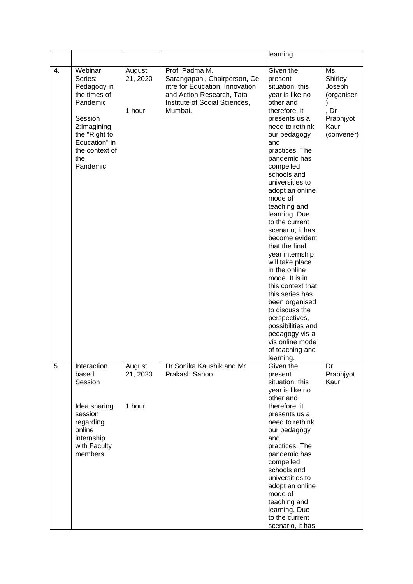|    |                                                                                                                                                                |                              |                                                                                                                                                           | learning.                                                                                                                                                                                                                                                                                                                                                                                                                                                                                                                                                                                                                                      |                                                                                        |
|----|----------------------------------------------------------------------------------------------------------------------------------------------------------------|------------------------------|-----------------------------------------------------------------------------------------------------------------------------------------------------------|------------------------------------------------------------------------------------------------------------------------------------------------------------------------------------------------------------------------------------------------------------------------------------------------------------------------------------------------------------------------------------------------------------------------------------------------------------------------------------------------------------------------------------------------------------------------------------------------------------------------------------------------|----------------------------------------------------------------------------------------|
| 4. | Webinar<br>Series:<br>Pedagogy in<br>the times of<br>Pandemic<br>Session<br>2:Imagining<br>the "Right to<br>Education" in<br>the context of<br>the<br>Pandemic | August<br>21, 2020<br>1 hour | Prof. Padma M.<br>Sarangapani, Chairperson, Ce<br>ntre for Education, Innovation<br>and Action Research, Tata<br>Institute of Social Sciences,<br>Mumbai. | Given the<br>present<br>situation, this<br>year is like no<br>other and<br>therefore, it<br>presents us a<br>need to rethink<br>our pedagogy<br>and<br>practices. The<br>pandemic has<br>compelled<br>schools and<br>universities to<br>adopt an online<br>mode of<br>teaching and<br>learning. Due<br>to the current<br>scenario, it has<br>become evident<br>that the final<br>year internship<br>will take place<br>in the online<br>mode. It is in<br>this context that<br>this series has<br>been organised<br>to discuss the<br>perspectives,<br>possibilities and<br>pedagogy vis-a-<br>vis online mode<br>of teaching and<br>learning. | Ms.<br>Shirley<br>Joseph<br>(organiser<br>)<br>, Dr<br>Prabhjyot<br>Kaur<br>(convener) |
| 5. | Interaction<br>based<br>Session<br>Idea sharing<br>session<br>regarding<br>online<br>internship<br>with Faculty<br>members                                     | August<br>21, 2020<br>1 hour | Dr Sonika Kaushik and Mr.<br>Prakash Sahoo                                                                                                                | Given the<br>present<br>situation, this<br>year is like no<br>other and<br>therefore, it<br>presents us a<br>need to rethink<br>our pedagogy<br>and<br>practices. The<br>pandemic has<br>compelled<br>schools and<br>universities to<br>adopt an online<br>mode of<br>teaching and<br>learning. Due<br>to the current<br>scenario, it has                                                                                                                                                                                                                                                                                                      | Dr<br>Prabhjyot<br>Kaur                                                                |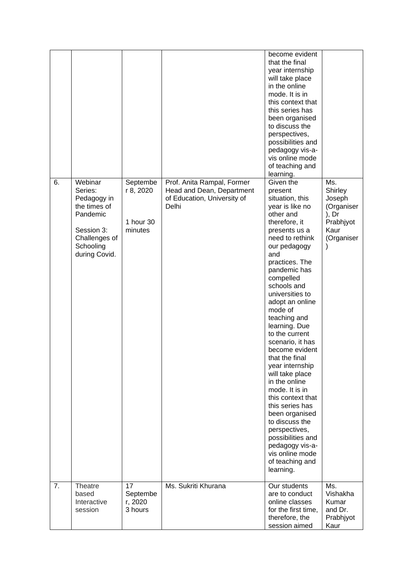|    |                                                                                                                            |                                               |                                                                                                 | become evident<br>that the final<br>year internship<br>will take place<br>in the online<br>mode. It is in<br>this context that<br>this series has<br>been organised<br>to discuss the<br>perspectives,<br>possibilities and<br>pedagogy vis-a-<br>vis online mode<br>of teaching and<br>learning.                                                                                                                                                                                                                                                                                                                                              |                                                                                    |
|----|----------------------------------------------------------------------------------------------------------------------------|-----------------------------------------------|-------------------------------------------------------------------------------------------------|------------------------------------------------------------------------------------------------------------------------------------------------------------------------------------------------------------------------------------------------------------------------------------------------------------------------------------------------------------------------------------------------------------------------------------------------------------------------------------------------------------------------------------------------------------------------------------------------------------------------------------------------|------------------------------------------------------------------------------------|
| 6. | Webinar<br>Series:<br>Pedagogy in<br>the times of<br>Pandemic<br>Session 3:<br>Challenges of<br>Schooling<br>during Covid. | Septembe<br>r 8, 2020<br>1 hour 30<br>minutes | Prof. Anita Rampal, Former<br>Head and Dean, Department<br>of Education, University of<br>Delhi | Given the<br>present<br>situation, this<br>year is like no<br>other and<br>therefore, it<br>presents us a<br>need to rethink<br>our pedagogy<br>and<br>practices. The<br>pandemic has<br>compelled<br>schools and<br>universities to<br>adopt an online<br>mode of<br>teaching and<br>learning. Due<br>to the current<br>scenario, it has<br>become evident<br>that the final<br>year internship<br>will take place<br>in the online<br>mode. It is in<br>this context that<br>this series has<br>been organised<br>to discuss the<br>perspectives,<br>possibilities and<br>pedagogy vis-a-<br>vis online mode<br>of teaching and<br>learning. | Ms.<br>Shirley<br>Joseph<br>(Organiser<br>), Dr<br>Prabhjyot<br>Kaur<br>(Organiser |
| 7. | Theatre<br>based<br>Interactive<br>session                                                                                 | 17<br>Septembe<br>r, 2020<br>3 hours          | Ms. Sukriti Khurana                                                                             | Our students<br>are to conduct<br>online classes<br>for the first time,<br>therefore, the<br>session aimed                                                                                                                                                                                                                                                                                                                                                                                                                                                                                                                                     | Ms.<br>Vishakha<br>Kumar<br>and Dr.<br>Prabhjyot<br>Kaur                           |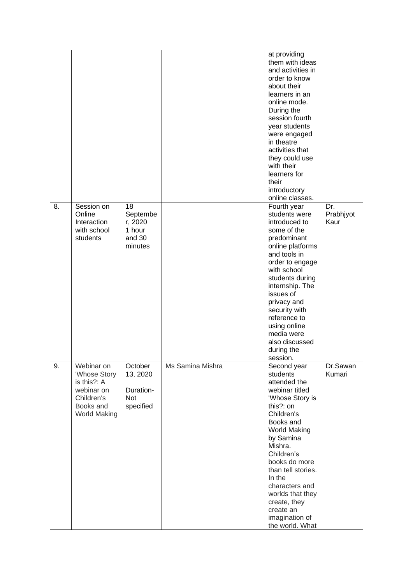|    |                                                                                                    |                                                          |                  | at providing<br>them with ideas<br>and activities in<br>order to know<br>about their<br>learners in an<br>online mode.<br>During the<br>session fourth<br>year students<br>were engaged<br>in theatre<br>activities that<br>they could use<br>with their<br>learners for<br>their<br>introductory<br>online classes.                       |                          |
|----|----------------------------------------------------------------------------------------------------|----------------------------------------------------------|------------------|--------------------------------------------------------------------------------------------------------------------------------------------------------------------------------------------------------------------------------------------------------------------------------------------------------------------------------------------|--------------------------|
| 8. | Session on<br>Online<br>Interaction<br>with school<br>students                                     | 18<br>Septembe<br>r, 2020<br>1 hour<br>and 30<br>minutes |                  | Fourth year<br>students were<br>introduced to<br>some of the<br>predominant<br>online platforms<br>and tools in<br>order to engage<br>with school<br>students during<br>internship. The<br>issues of<br>privacy and<br>security with<br>reference to<br>using online<br>media were<br>also discussed<br>during the<br>session.             | Dr.<br>Prabhjyot<br>Kaur |
| 9. | Webinar on<br>'Whose Story<br>is this?: A<br>webinar on<br>Children's<br>Books and<br>World Making | October<br>13, 2020<br>Duration-<br>Not<br>specified     | Ms Samina Mishra | Second year<br>students<br>attended the<br>webinar titled<br>'Whose Story is<br>this?: on<br>Children's<br>Books and<br><b>World Making</b><br>by Samina<br>Mishra.<br>Children's<br>books do more<br>than tell stories.<br>In the<br>characters and<br>worlds that they<br>create, they<br>create an<br>imagination of<br>the world. What | Dr.Sawan<br>Kumari       |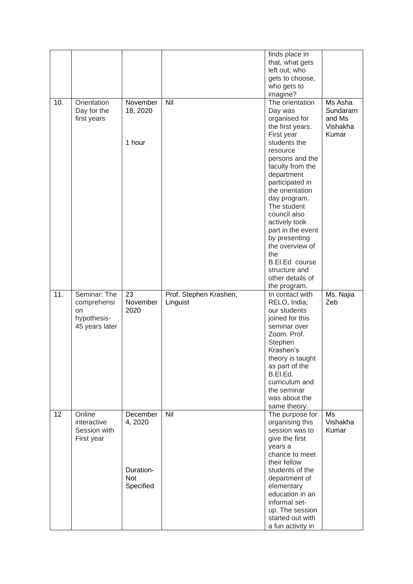|     |                |            |                        | finds place in                        |           |
|-----|----------------|------------|------------------------|---------------------------------------|-----------|
|     |                |            |                        | that, what gets                       |           |
|     |                |            |                        | left out, who                         |           |
|     |                |            |                        | gets to choose,                       |           |
|     |                |            |                        | who gets to                           |           |
|     |                |            |                        | imagine?                              |           |
| 10. | Orientation    | November   | Nil                    | The orientation                       | Ms Asha   |
|     | Day for the    | 18, 2020   |                        | Day was                               | Sundaram  |
|     | first years    |            |                        | organised for                         | and Ms    |
|     |                |            |                        | the first years.                      | Vishakha  |
|     |                |            |                        | First year                            | Kumar     |
|     |                | 1 hour     |                        | students the                          |           |
|     |                |            |                        | resource                              |           |
|     |                |            |                        | persons and the                       |           |
|     |                |            |                        | faculty from the                      |           |
|     |                |            |                        | department                            |           |
|     |                |            |                        | participated in                       |           |
|     |                |            |                        | the orientation                       |           |
|     |                |            |                        | day program.                          |           |
|     |                |            |                        | The student                           |           |
|     |                |            |                        | council also                          |           |
|     |                |            |                        | actively took                         |           |
|     |                |            |                        | part in the event                     |           |
|     |                |            |                        | by presenting                         |           |
|     |                |            |                        | the overview of                       |           |
|     |                |            |                        | the                                   |           |
|     |                |            |                        | B.El.Ed course                        |           |
|     |                |            |                        | structure and                         |           |
|     |                |            |                        | other details of                      |           |
|     |                |            |                        | the program.                          |           |
|     |                |            |                        |                                       |           |
| 11. | Seminar: The   | 23         | Prof. Stephen Krashen, | In contact with                       | Ms. Najia |
|     | comprehensi    | November   | Linguist               | RELO, India;                          | Zeb       |
|     | on             | 2020       |                        | our students                          |           |
|     | hypothesis-    |            |                        | joined for this                       |           |
|     | 45 years later |            |                        | seminar over                          |           |
|     |                |            |                        | Zoom. Prof.                           |           |
|     |                |            |                        | Stephen                               |           |
|     |                |            |                        | Krashen's                             |           |
|     |                |            |                        | theory is taught                      |           |
|     |                |            |                        | as part of the                        |           |
|     |                |            |                        | B.EI.Ed.                              |           |
|     |                |            |                        | curriculum and                        |           |
|     |                |            |                        | the seminar                           |           |
|     |                |            |                        | was about the                         |           |
|     |                |            |                        | same theory.                          |           |
| 12  | Online         | December   | Nil                    | The purpose for                       | Ms        |
|     | interactive    | 4, 2020    |                        | organising this                       | Vishakha  |
|     | Session with   |            |                        | session was to                        | Kumar     |
|     | First year     |            |                        | give the first                        |           |
|     |                |            |                        | years a                               |           |
|     |                |            |                        | chance to meet                        |           |
|     |                |            |                        | their fellow                          |           |
|     |                | Duration-  |                        | students of the                       |           |
|     |                | <b>Not</b> |                        | department of                         |           |
|     |                | Specified  |                        | elementary                            |           |
|     |                |            |                        | education in an                       |           |
|     |                |            |                        | informal set-                         |           |
|     |                |            |                        | up. The session                       |           |
|     |                |            |                        | started out with<br>a fun activity in |           |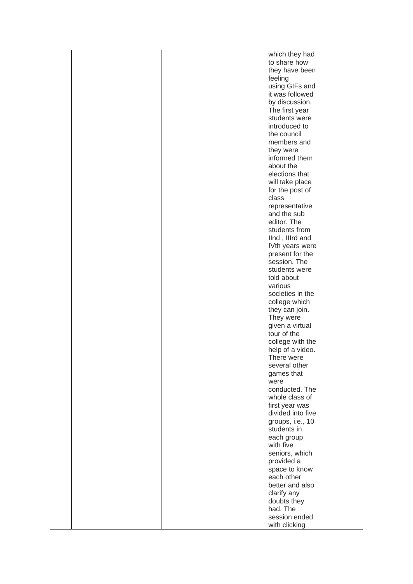|  |  | which they had                      |
|--|--|-------------------------------------|
|  |  | to share how                        |
|  |  | they have been                      |
|  |  | feeling                             |
|  |  | using GIFs and                      |
|  |  | it was followed                     |
|  |  | by discussion.                      |
|  |  | The first year<br>students were     |
|  |  | introduced to                       |
|  |  | the council                         |
|  |  | members and                         |
|  |  | they were                           |
|  |  | informed them                       |
|  |  | about the                           |
|  |  | elections that                      |
|  |  | will take place                     |
|  |  | for the post of                     |
|  |  | class                               |
|  |  | representative                      |
|  |  | and the sub<br>editor. The          |
|  |  | students from                       |
|  |  | llnd, Illrd and                     |
|  |  | IVth years were                     |
|  |  | present for the                     |
|  |  | session. The                        |
|  |  | students were                       |
|  |  | told about                          |
|  |  | various                             |
|  |  | societies in the                    |
|  |  | college which                       |
|  |  | they can join.                      |
|  |  | They were<br>given a virtual        |
|  |  | tour of the                         |
|  |  | college with the                    |
|  |  | help of a video.                    |
|  |  | There were                          |
|  |  | several other                       |
|  |  | games that                          |
|  |  | were                                |
|  |  | conducted. The                      |
|  |  | whole class of                      |
|  |  | first year was<br>divided into five |
|  |  | groups, i.e., 10                    |
|  |  | students in                         |
|  |  | each group                          |
|  |  | with five                           |
|  |  | seniors, which                      |
|  |  | provided a                          |
|  |  | space to know                       |
|  |  | each other                          |
|  |  | better and also                     |
|  |  | clarify any                         |
|  |  | doubts they                         |
|  |  | had. The                            |
|  |  | session ended<br>with clicking      |
|  |  |                                     |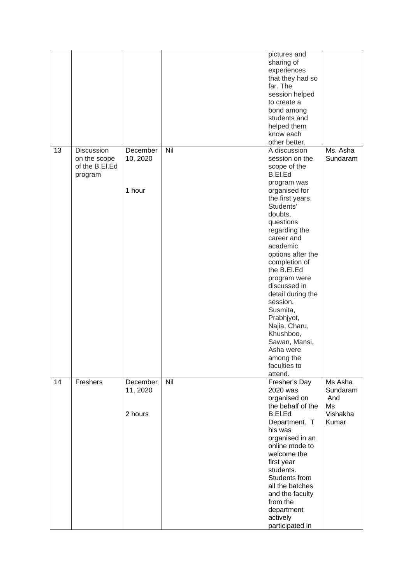|    |                                                                |                                 |     | pictures and<br>sharing of<br>experiences<br>that they had so<br>far. The<br>session helped<br>to create a<br>bond among<br>students and<br>helped them<br>know each<br>other better.                                                                                                                                                                                                                                                             |                                                       |
|----|----------------------------------------------------------------|---------------------------------|-----|---------------------------------------------------------------------------------------------------------------------------------------------------------------------------------------------------------------------------------------------------------------------------------------------------------------------------------------------------------------------------------------------------------------------------------------------------|-------------------------------------------------------|
| 13 | <b>Discussion</b><br>on the scope<br>of the B.EI.Ed<br>program | December<br>10, 2020<br>1 hour  | Nil | A discussion<br>session on the<br>scope of the<br>B.El.Ed<br>program was<br>organised for<br>the first years.<br>Students'<br>doubts,<br>questions<br>regarding the<br>career and<br>academic<br>options after the<br>completion of<br>the B.El.Ed<br>program were<br>discussed in<br>detail during the<br>session.<br>Susmita,<br>Prabhjyot,<br>Najia, Charu,<br>Khushboo,<br>Sawan, Mansi,<br>Asha were<br>among the<br>faculties to<br>attend. | Ms. Asha<br>Sundaram                                  |
| 14 | Freshers                                                       | December<br>11, 2020<br>2 hours | Nil | Fresher's Day<br>2020 was<br>organised on<br>the behalf of the<br>B.EI.Ed<br>Department. T<br>his was<br>organised in an<br>online mode to<br>welcome the<br>first year<br>students.<br>Students from<br>all the batches<br>and the faculty<br>from the<br>department<br>actively<br>participated in                                                                                                                                              | Ms Asha<br>Sundaram<br>And<br>Ms<br>Vishakha<br>Kumar |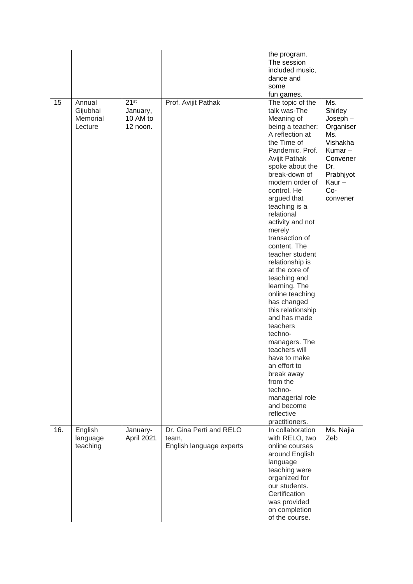|     |                                           |                                                      |                                                              | the program.<br>The session<br>included music,<br>dance and<br>some<br>fun games.                                                                                                                                                                                                                                                                                                                                                                                                                                                                                                                                                                                                                  |                                                                                                                                    |
|-----|-------------------------------------------|------------------------------------------------------|--------------------------------------------------------------|----------------------------------------------------------------------------------------------------------------------------------------------------------------------------------------------------------------------------------------------------------------------------------------------------------------------------------------------------------------------------------------------------------------------------------------------------------------------------------------------------------------------------------------------------------------------------------------------------------------------------------------------------------------------------------------------------|------------------------------------------------------------------------------------------------------------------------------------|
| 15  | Annual<br>Gijubhai<br>Memorial<br>Lecture | 21 <sup>st</sup><br>January,<br>10 AM to<br>12 noon. | Prof. Avijit Pathak                                          | The topic of the<br>talk was-The<br>Meaning of<br>being a teacher:<br>A reflection at<br>the Time of<br>Pandemic. Prof.<br><b>Avijit Pathak</b><br>spoke about the<br>break-down of<br>modern order of<br>control. He<br>argued that<br>teaching is a<br>relational<br>activity and not<br>merely<br>transaction of<br>content. The<br>teacher student<br>relationship is<br>at the core of<br>teaching and<br>learning. The<br>online teaching<br>has changed<br>this relationship<br>and has made<br>teachers<br>techno-<br>managers. The<br>teachers will<br>have to make<br>an effort to<br>break away<br>from the<br>techno-<br>managerial role<br>and become<br>reflective<br>practitioners. | Ms.<br>Shirley<br>$Joseph -$<br>Organiser<br>Ms.<br>Vishakha<br>Kumar-<br>Convener<br>Dr.<br>Prabhjyot<br>Kaur-<br>Co-<br>convener |
| 16. | English<br>language<br>teaching           | January-<br>April 2021                               | Dr. Gina Perti and RELO<br>team,<br>English language experts | In collaboration<br>with RELO, two<br>online courses<br>around English<br>language<br>teaching were<br>organized for<br>our students.<br>Certification<br>was provided<br>on completion<br>of the course.                                                                                                                                                                                                                                                                                                                                                                                                                                                                                          | Ms. Najia<br>Zeb                                                                                                                   |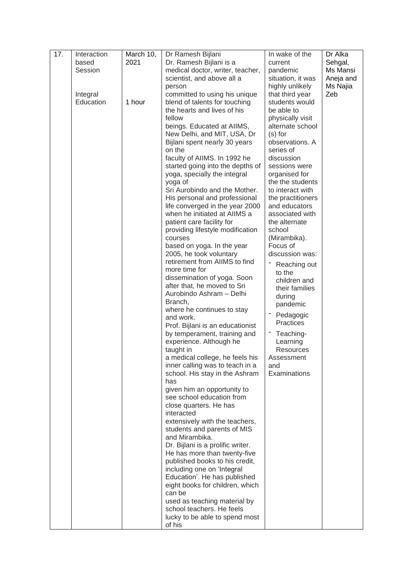| 2021<br>Dr. Ramesh Bijlani is a<br>Sehgal,<br>based<br>current<br>Session<br>medical doctor, writer, teacher,<br>Ms Mansi<br>pandemic<br>scientist, and above all a<br>situation, it was<br>Aneja and<br>highly unlikely<br>Ms Najia<br>person<br>committed to using his unique<br>that third year<br>Zeb<br>Integral<br>Education<br>1 hour<br>blend of talents for touching<br>students would<br>the hearts and lives of his<br>be able to<br>physically visit<br>fellow<br>beings. Educated at AIIMS,<br>alternate school<br>New Delhi, and MIT, USA, Dr<br>$(s)$ for<br>Bijlani spent nearly 30 years<br>observations. A<br>on the<br>series of<br>faculty of AIIMS. In 1992 he<br>discussion<br>started going into the depths of<br>sessions were<br>yoga, specially the integral<br>organised for<br>the the students<br>yoga of<br>Sri Aurobindo and the Mother.<br>to interact with<br>His personal and professional<br>the practitioners<br>life converged in the year 2000<br>and educators<br>when he initiated at AIIMS a<br>associated with<br>patient care facility for<br>the alternate<br>providing lifestyle modification<br>school<br>(Mirambika).<br>courses<br>Focus of<br>based on yoga. In the year<br>2005, he took voluntary<br>discussion was:<br>retirement from AIIMS to find<br>Reaching out<br>more time for<br>to the<br>dissemination of yoga. Soon<br>children and<br>after that, he moved to Sri<br>their families<br>Aurobindo Ashram - Delhi<br>during<br>Branch,<br>pandemic<br>where he continues to stay<br>Pedagogic<br>and work.<br>Practices<br>Prof. Bijlani is an educationist<br>by temperament, training and<br>Teaching-<br>experience. Although he<br>Learning<br>taught in<br><b>Resources</b><br>a medical college, he feels his<br>Assessment<br>inner calling was to teach in a<br>and<br>school. His stay in the Ashram<br>Examinations<br>has<br>given him an opportunity to<br>see school education from<br>close quarters. He has<br>interacted<br>extensively with the teachers,<br>students and parents of MIS<br>and Mirambika.<br>Dr. Bijlani is a prolific writer.<br>He has more than twenty-five<br>published books to his credit,<br>including one on 'Integral<br>Education'. He has published<br>eight books for children, which<br>can be | 17. | Interaction | March 10, | Dr Ramesh Bijlani            | In wake of the | Dr Alka |
|-------------------------------------------------------------------------------------------------------------------------------------------------------------------------------------------------------------------------------------------------------------------------------------------------------------------------------------------------------------------------------------------------------------------------------------------------------------------------------------------------------------------------------------------------------------------------------------------------------------------------------------------------------------------------------------------------------------------------------------------------------------------------------------------------------------------------------------------------------------------------------------------------------------------------------------------------------------------------------------------------------------------------------------------------------------------------------------------------------------------------------------------------------------------------------------------------------------------------------------------------------------------------------------------------------------------------------------------------------------------------------------------------------------------------------------------------------------------------------------------------------------------------------------------------------------------------------------------------------------------------------------------------------------------------------------------------------------------------------------------------------------------------------------------------------------------------------------------------------------------------------------------------------------------------------------------------------------------------------------------------------------------------------------------------------------------------------------------------------------------------------------------------------------------------------------------------------------------------------------------------------------------------------------------------------------|-----|-------------|-----------|------------------------------|----------------|---------|
|                                                                                                                                                                                                                                                                                                                                                                                                                                                                                                                                                                                                                                                                                                                                                                                                                                                                                                                                                                                                                                                                                                                                                                                                                                                                                                                                                                                                                                                                                                                                                                                                                                                                                                                                                                                                                                                                                                                                                                                                                                                                                                                                                                                                                                                                                                             |     |             |           |                              |                |         |
|                                                                                                                                                                                                                                                                                                                                                                                                                                                                                                                                                                                                                                                                                                                                                                                                                                                                                                                                                                                                                                                                                                                                                                                                                                                                                                                                                                                                                                                                                                                                                                                                                                                                                                                                                                                                                                                                                                                                                                                                                                                                                                                                                                                                                                                                                                             |     |             |           |                              |                |         |
|                                                                                                                                                                                                                                                                                                                                                                                                                                                                                                                                                                                                                                                                                                                                                                                                                                                                                                                                                                                                                                                                                                                                                                                                                                                                                                                                                                                                                                                                                                                                                                                                                                                                                                                                                                                                                                                                                                                                                                                                                                                                                                                                                                                                                                                                                                             |     |             |           |                              |                |         |
|                                                                                                                                                                                                                                                                                                                                                                                                                                                                                                                                                                                                                                                                                                                                                                                                                                                                                                                                                                                                                                                                                                                                                                                                                                                                                                                                                                                                                                                                                                                                                                                                                                                                                                                                                                                                                                                                                                                                                                                                                                                                                                                                                                                                                                                                                                             |     |             |           |                              |                |         |
|                                                                                                                                                                                                                                                                                                                                                                                                                                                                                                                                                                                                                                                                                                                                                                                                                                                                                                                                                                                                                                                                                                                                                                                                                                                                                                                                                                                                                                                                                                                                                                                                                                                                                                                                                                                                                                                                                                                                                                                                                                                                                                                                                                                                                                                                                                             |     |             |           |                              |                |         |
|                                                                                                                                                                                                                                                                                                                                                                                                                                                                                                                                                                                                                                                                                                                                                                                                                                                                                                                                                                                                                                                                                                                                                                                                                                                                                                                                                                                                                                                                                                                                                                                                                                                                                                                                                                                                                                                                                                                                                                                                                                                                                                                                                                                                                                                                                                             |     |             |           |                              |                |         |
|                                                                                                                                                                                                                                                                                                                                                                                                                                                                                                                                                                                                                                                                                                                                                                                                                                                                                                                                                                                                                                                                                                                                                                                                                                                                                                                                                                                                                                                                                                                                                                                                                                                                                                                                                                                                                                                                                                                                                                                                                                                                                                                                                                                                                                                                                                             |     |             |           |                              |                |         |
|                                                                                                                                                                                                                                                                                                                                                                                                                                                                                                                                                                                                                                                                                                                                                                                                                                                                                                                                                                                                                                                                                                                                                                                                                                                                                                                                                                                                                                                                                                                                                                                                                                                                                                                                                                                                                                                                                                                                                                                                                                                                                                                                                                                                                                                                                                             |     |             |           |                              |                |         |
|                                                                                                                                                                                                                                                                                                                                                                                                                                                                                                                                                                                                                                                                                                                                                                                                                                                                                                                                                                                                                                                                                                                                                                                                                                                                                                                                                                                                                                                                                                                                                                                                                                                                                                                                                                                                                                                                                                                                                                                                                                                                                                                                                                                                                                                                                                             |     |             |           |                              |                |         |
|                                                                                                                                                                                                                                                                                                                                                                                                                                                                                                                                                                                                                                                                                                                                                                                                                                                                                                                                                                                                                                                                                                                                                                                                                                                                                                                                                                                                                                                                                                                                                                                                                                                                                                                                                                                                                                                                                                                                                                                                                                                                                                                                                                                                                                                                                                             |     |             |           |                              |                |         |
|                                                                                                                                                                                                                                                                                                                                                                                                                                                                                                                                                                                                                                                                                                                                                                                                                                                                                                                                                                                                                                                                                                                                                                                                                                                                                                                                                                                                                                                                                                                                                                                                                                                                                                                                                                                                                                                                                                                                                                                                                                                                                                                                                                                                                                                                                                             |     |             |           |                              |                |         |
|                                                                                                                                                                                                                                                                                                                                                                                                                                                                                                                                                                                                                                                                                                                                                                                                                                                                                                                                                                                                                                                                                                                                                                                                                                                                                                                                                                                                                                                                                                                                                                                                                                                                                                                                                                                                                                                                                                                                                                                                                                                                                                                                                                                                                                                                                                             |     |             |           |                              |                |         |
|                                                                                                                                                                                                                                                                                                                                                                                                                                                                                                                                                                                                                                                                                                                                                                                                                                                                                                                                                                                                                                                                                                                                                                                                                                                                                                                                                                                                                                                                                                                                                                                                                                                                                                                                                                                                                                                                                                                                                                                                                                                                                                                                                                                                                                                                                                             |     |             |           |                              |                |         |
|                                                                                                                                                                                                                                                                                                                                                                                                                                                                                                                                                                                                                                                                                                                                                                                                                                                                                                                                                                                                                                                                                                                                                                                                                                                                                                                                                                                                                                                                                                                                                                                                                                                                                                                                                                                                                                                                                                                                                                                                                                                                                                                                                                                                                                                                                                             |     |             |           |                              |                |         |
|                                                                                                                                                                                                                                                                                                                                                                                                                                                                                                                                                                                                                                                                                                                                                                                                                                                                                                                                                                                                                                                                                                                                                                                                                                                                                                                                                                                                                                                                                                                                                                                                                                                                                                                                                                                                                                                                                                                                                                                                                                                                                                                                                                                                                                                                                                             |     |             |           |                              |                |         |
|                                                                                                                                                                                                                                                                                                                                                                                                                                                                                                                                                                                                                                                                                                                                                                                                                                                                                                                                                                                                                                                                                                                                                                                                                                                                                                                                                                                                                                                                                                                                                                                                                                                                                                                                                                                                                                                                                                                                                                                                                                                                                                                                                                                                                                                                                                             |     |             |           |                              |                |         |
|                                                                                                                                                                                                                                                                                                                                                                                                                                                                                                                                                                                                                                                                                                                                                                                                                                                                                                                                                                                                                                                                                                                                                                                                                                                                                                                                                                                                                                                                                                                                                                                                                                                                                                                                                                                                                                                                                                                                                                                                                                                                                                                                                                                                                                                                                                             |     |             |           |                              |                |         |
|                                                                                                                                                                                                                                                                                                                                                                                                                                                                                                                                                                                                                                                                                                                                                                                                                                                                                                                                                                                                                                                                                                                                                                                                                                                                                                                                                                                                                                                                                                                                                                                                                                                                                                                                                                                                                                                                                                                                                                                                                                                                                                                                                                                                                                                                                                             |     |             |           |                              |                |         |
|                                                                                                                                                                                                                                                                                                                                                                                                                                                                                                                                                                                                                                                                                                                                                                                                                                                                                                                                                                                                                                                                                                                                                                                                                                                                                                                                                                                                                                                                                                                                                                                                                                                                                                                                                                                                                                                                                                                                                                                                                                                                                                                                                                                                                                                                                                             |     |             |           |                              |                |         |
|                                                                                                                                                                                                                                                                                                                                                                                                                                                                                                                                                                                                                                                                                                                                                                                                                                                                                                                                                                                                                                                                                                                                                                                                                                                                                                                                                                                                                                                                                                                                                                                                                                                                                                                                                                                                                                                                                                                                                                                                                                                                                                                                                                                                                                                                                                             |     |             |           |                              |                |         |
|                                                                                                                                                                                                                                                                                                                                                                                                                                                                                                                                                                                                                                                                                                                                                                                                                                                                                                                                                                                                                                                                                                                                                                                                                                                                                                                                                                                                                                                                                                                                                                                                                                                                                                                                                                                                                                                                                                                                                                                                                                                                                                                                                                                                                                                                                                             |     |             |           |                              |                |         |
|                                                                                                                                                                                                                                                                                                                                                                                                                                                                                                                                                                                                                                                                                                                                                                                                                                                                                                                                                                                                                                                                                                                                                                                                                                                                                                                                                                                                                                                                                                                                                                                                                                                                                                                                                                                                                                                                                                                                                                                                                                                                                                                                                                                                                                                                                                             |     |             |           |                              |                |         |
|                                                                                                                                                                                                                                                                                                                                                                                                                                                                                                                                                                                                                                                                                                                                                                                                                                                                                                                                                                                                                                                                                                                                                                                                                                                                                                                                                                                                                                                                                                                                                                                                                                                                                                                                                                                                                                                                                                                                                                                                                                                                                                                                                                                                                                                                                                             |     |             |           |                              |                |         |
|                                                                                                                                                                                                                                                                                                                                                                                                                                                                                                                                                                                                                                                                                                                                                                                                                                                                                                                                                                                                                                                                                                                                                                                                                                                                                                                                                                                                                                                                                                                                                                                                                                                                                                                                                                                                                                                                                                                                                                                                                                                                                                                                                                                                                                                                                                             |     |             |           |                              |                |         |
|                                                                                                                                                                                                                                                                                                                                                                                                                                                                                                                                                                                                                                                                                                                                                                                                                                                                                                                                                                                                                                                                                                                                                                                                                                                                                                                                                                                                                                                                                                                                                                                                                                                                                                                                                                                                                                                                                                                                                                                                                                                                                                                                                                                                                                                                                                             |     |             |           |                              |                |         |
|                                                                                                                                                                                                                                                                                                                                                                                                                                                                                                                                                                                                                                                                                                                                                                                                                                                                                                                                                                                                                                                                                                                                                                                                                                                                                                                                                                                                                                                                                                                                                                                                                                                                                                                                                                                                                                                                                                                                                                                                                                                                                                                                                                                                                                                                                                             |     |             |           |                              |                |         |
|                                                                                                                                                                                                                                                                                                                                                                                                                                                                                                                                                                                                                                                                                                                                                                                                                                                                                                                                                                                                                                                                                                                                                                                                                                                                                                                                                                                                                                                                                                                                                                                                                                                                                                                                                                                                                                                                                                                                                                                                                                                                                                                                                                                                                                                                                                             |     |             |           |                              |                |         |
|                                                                                                                                                                                                                                                                                                                                                                                                                                                                                                                                                                                                                                                                                                                                                                                                                                                                                                                                                                                                                                                                                                                                                                                                                                                                                                                                                                                                                                                                                                                                                                                                                                                                                                                                                                                                                                                                                                                                                                                                                                                                                                                                                                                                                                                                                                             |     |             |           |                              |                |         |
|                                                                                                                                                                                                                                                                                                                                                                                                                                                                                                                                                                                                                                                                                                                                                                                                                                                                                                                                                                                                                                                                                                                                                                                                                                                                                                                                                                                                                                                                                                                                                                                                                                                                                                                                                                                                                                                                                                                                                                                                                                                                                                                                                                                                                                                                                                             |     |             |           |                              |                |         |
|                                                                                                                                                                                                                                                                                                                                                                                                                                                                                                                                                                                                                                                                                                                                                                                                                                                                                                                                                                                                                                                                                                                                                                                                                                                                                                                                                                                                                                                                                                                                                                                                                                                                                                                                                                                                                                                                                                                                                                                                                                                                                                                                                                                                                                                                                                             |     |             |           |                              |                |         |
|                                                                                                                                                                                                                                                                                                                                                                                                                                                                                                                                                                                                                                                                                                                                                                                                                                                                                                                                                                                                                                                                                                                                                                                                                                                                                                                                                                                                                                                                                                                                                                                                                                                                                                                                                                                                                                                                                                                                                                                                                                                                                                                                                                                                                                                                                                             |     |             |           |                              |                |         |
|                                                                                                                                                                                                                                                                                                                                                                                                                                                                                                                                                                                                                                                                                                                                                                                                                                                                                                                                                                                                                                                                                                                                                                                                                                                                                                                                                                                                                                                                                                                                                                                                                                                                                                                                                                                                                                                                                                                                                                                                                                                                                                                                                                                                                                                                                                             |     |             |           |                              |                |         |
|                                                                                                                                                                                                                                                                                                                                                                                                                                                                                                                                                                                                                                                                                                                                                                                                                                                                                                                                                                                                                                                                                                                                                                                                                                                                                                                                                                                                                                                                                                                                                                                                                                                                                                                                                                                                                                                                                                                                                                                                                                                                                                                                                                                                                                                                                                             |     |             |           |                              |                |         |
|                                                                                                                                                                                                                                                                                                                                                                                                                                                                                                                                                                                                                                                                                                                                                                                                                                                                                                                                                                                                                                                                                                                                                                                                                                                                                                                                                                                                                                                                                                                                                                                                                                                                                                                                                                                                                                                                                                                                                                                                                                                                                                                                                                                                                                                                                                             |     |             |           |                              |                |         |
|                                                                                                                                                                                                                                                                                                                                                                                                                                                                                                                                                                                                                                                                                                                                                                                                                                                                                                                                                                                                                                                                                                                                                                                                                                                                                                                                                                                                                                                                                                                                                                                                                                                                                                                                                                                                                                                                                                                                                                                                                                                                                                                                                                                                                                                                                                             |     |             |           |                              |                |         |
|                                                                                                                                                                                                                                                                                                                                                                                                                                                                                                                                                                                                                                                                                                                                                                                                                                                                                                                                                                                                                                                                                                                                                                                                                                                                                                                                                                                                                                                                                                                                                                                                                                                                                                                                                                                                                                                                                                                                                                                                                                                                                                                                                                                                                                                                                                             |     |             |           |                              |                |         |
|                                                                                                                                                                                                                                                                                                                                                                                                                                                                                                                                                                                                                                                                                                                                                                                                                                                                                                                                                                                                                                                                                                                                                                                                                                                                                                                                                                                                                                                                                                                                                                                                                                                                                                                                                                                                                                                                                                                                                                                                                                                                                                                                                                                                                                                                                                             |     |             |           |                              |                |         |
|                                                                                                                                                                                                                                                                                                                                                                                                                                                                                                                                                                                                                                                                                                                                                                                                                                                                                                                                                                                                                                                                                                                                                                                                                                                                                                                                                                                                                                                                                                                                                                                                                                                                                                                                                                                                                                                                                                                                                                                                                                                                                                                                                                                                                                                                                                             |     |             |           |                              |                |         |
|                                                                                                                                                                                                                                                                                                                                                                                                                                                                                                                                                                                                                                                                                                                                                                                                                                                                                                                                                                                                                                                                                                                                                                                                                                                                                                                                                                                                                                                                                                                                                                                                                                                                                                                                                                                                                                                                                                                                                                                                                                                                                                                                                                                                                                                                                                             |     |             |           |                              |                |         |
|                                                                                                                                                                                                                                                                                                                                                                                                                                                                                                                                                                                                                                                                                                                                                                                                                                                                                                                                                                                                                                                                                                                                                                                                                                                                                                                                                                                                                                                                                                                                                                                                                                                                                                                                                                                                                                                                                                                                                                                                                                                                                                                                                                                                                                                                                                             |     |             |           |                              |                |         |
|                                                                                                                                                                                                                                                                                                                                                                                                                                                                                                                                                                                                                                                                                                                                                                                                                                                                                                                                                                                                                                                                                                                                                                                                                                                                                                                                                                                                                                                                                                                                                                                                                                                                                                                                                                                                                                                                                                                                                                                                                                                                                                                                                                                                                                                                                                             |     |             |           |                              |                |         |
|                                                                                                                                                                                                                                                                                                                                                                                                                                                                                                                                                                                                                                                                                                                                                                                                                                                                                                                                                                                                                                                                                                                                                                                                                                                                                                                                                                                                                                                                                                                                                                                                                                                                                                                                                                                                                                                                                                                                                                                                                                                                                                                                                                                                                                                                                                             |     |             |           |                              |                |         |
|                                                                                                                                                                                                                                                                                                                                                                                                                                                                                                                                                                                                                                                                                                                                                                                                                                                                                                                                                                                                                                                                                                                                                                                                                                                                                                                                                                                                                                                                                                                                                                                                                                                                                                                                                                                                                                                                                                                                                                                                                                                                                                                                                                                                                                                                                                             |     |             |           |                              |                |         |
|                                                                                                                                                                                                                                                                                                                                                                                                                                                                                                                                                                                                                                                                                                                                                                                                                                                                                                                                                                                                                                                                                                                                                                                                                                                                                                                                                                                                                                                                                                                                                                                                                                                                                                                                                                                                                                                                                                                                                                                                                                                                                                                                                                                                                                                                                                             |     |             |           |                              |                |         |
|                                                                                                                                                                                                                                                                                                                                                                                                                                                                                                                                                                                                                                                                                                                                                                                                                                                                                                                                                                                                                                                                                                                                                                                                                                                                                                                                                                                                                                                                                                                                                                                                                                                                                                                                                                                                                                                                                                                                                                                                                                                                                                                                                                                                                                                                                                             |     |             |           |                              |                |         |
|                                                                                                                                                                                                                                                                                                                                                                                                                                                                                                                                                                                                                                                                                                                                                                                                                                                                                                                                                                                                                                                                                                                                                                                                                                                                                                                                                                                                                                                                                                                                                                                                                                                                                                                                                                                                                                                                                                                                                                                                                                                                                                                                                                                                                                                                                                             |     |             |           |                              |                |         |
|                                                                                                                                                                                                                                                                                                                                                                                                                                                                                                                                                                                                                                                                                                                                                                                                                                                                                                                                                                                                                                                                                                                                                                                                                                                                                                                                                                                                                                                                                                                                                                                                                                                                                                                                                                                                                                                                                                                                                                                                                                                                                                                                                                                                                                                                                                             |     |             |           |                              |                |         |
|                                                                                                                                                                                                                                                                                                                                                                                                                                                                                                                                                                                                                                                                                                                                                                                                                                                                                                                                                                                                                                                                                                                                                                                                                                                                                                                                                                                                                                                                                                                                                                                                                                                                                                                                                                                                                                                                                                                                                                                                                                                                                                                                                                                                                                                                                                             |     |             |           |                              |                |         |
|                                                                                                                                                                                                                                                                                                                                                                                                                                                                                                                                                                                                                                                                                                                                                                                                                                                                                                                                                                                                                                                                                                                                                                                                                                                                                                                                                                                                                                                                                                                                                                                                                                                                                                                                                                                                                                                                                                                                                                                                                                                                                                                                                                                                                                                                                                             |     |             |           |                              |                |         |
|                                                                                                                                                                                                                                                                                                                                                                                                                                                                                                                                                                                                                                                                                                                                                                                                                                                                                                                                                                                                                                                                                                                                                                                                                                                                                                                                                                                                                                                                                                                                                                                                                                                                                                                                                                                                                                                                                                                                                                                                                                                                                                                                                                                                                                                                                                             |     |             |           |                              |                |         |
|                                                                                                                                                                                                                                                                                                                                                                                                                                                                                                                                                                                                                                                                                                                                                                                                                                                                                                                                                                                                                                                                                                                                                                                                                                                                                                                                                                                                                                                                                                                                                                                                                                                                                                                                                                                                                                                                                                                                                                                                                                                                                                                                                                                                                                                                                                             |     |             |           |                              |                |         |
|                                                                                                                                                                                                                                                                                                                                                                                                                                                                                                                                                                                                                                                                                                                                                                                                                                                                                                                                                                                                                                                                                                                                                                                                                                                                                                                                                                                                                                                                                                                                                                                                                                                                                                                                                                                                                                                                                                                                                                                                                                                                                                                                                                                                                                                                                                             |     |             |           |                              |                |         |
|                                                                                                                                                                                                                                                                                                                                                                                                                                                                                                                                                                                                                                                                                                                                                                                                                                                                                                                                                                                                                                                                                                                                                                                                                                                                                                                                                                                                                                                                                                                                                                                                                                                                                                                                                                                                                                                                                                                                                                                                                                                                                                                                                                                                                                                                                                             |     |             |           | used as teaching material by |                |         |
| school teachers. He feels                                                                                                                                                                                                                                                                                                                                                                                                                                                                                                                                                                                                                                                                                                                                                                                                                                                                                                                                                                                                                                                                                                                                                                                                                                                                                                                                                                                                                                                                                                                                                                                                                                                                                                                                                                                                                                                                                                                                                                                                                                                                                                                                                                                                                                                                                   |     |             |           |                              |                |         |
| lucky to be able to spend most<br>of his                                                                                                                                                                                                                                                                                                                                                                                                                                                                                                                                                                                                                                                                                                                                                                                                                                                                                                                                                                                                                                                                                                                                                                                                                                                                                                                                                                                                                                                                                                                                                                                                                                                                                                                                                                                                                                                                                                                                                                                                                                                                                                                                                                                                                                                                    |     |             |           |                              |                |         |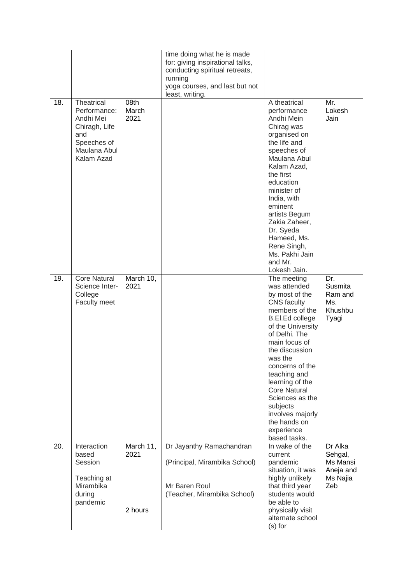|     |                                                                                                              |                              | time doing what he is made<br>for: giving inspirational talks,<br>conducting spiritual retreats,<br>running<br>yoga courses, and last but not<br>least, writing. |                                                                                                                                                                                                                                                                                                                                                                            |                                                                |
|-----|--------------------------------------------------------------------------------------------------------------|------------------------------|------------------------------------------------------------------------------------------------------------------------------------------------------------------|----------------------------------------------------------------------------------------------------------------------------------------------------------------------------------------------------------------------------------------------------------------------------------------------------------------------------------------------------------------------------|----------------------------------------------------------------|
| 18. | Theatrical<br>Performance:<br>Andhi Mei<br>Chiragh, Life<br>and<br>Speeches of<br>Maulana Abul<br>Kalam Azad | 08th<br>March<br>2021        |                                                                                                                                                                  | A theatrical<br>performance<br>Andhi Mein<br>Chirag was<br>organised on<br>the life and<br>speeches of<br>Maulana Abul<br>Kalam Azad,<br>the first<br>education<br>minister of<br>India, with<br>eminent<br>artists Begum<br>Zakia Zaheer,<br>Dr. Syeda<br>Hameed, Ms.<br>Rene Singh,<br>Ms. Pakhi Jain<br>and Mr.<br>Lokesh Jain.                                         | Mr.<br>Lokesh<br>Jain                                          |
| 19. | <b>Core Natural</b><br>Science Inter-<br>College<br>Faculty meet                                             | March 10,<br>2021            |                                                                                                                                                                  | The meeting<br>was attended<br>by most of the<br><b>CNS</b> faculty<br>members of the<br>B.El.Ed college<br>of the University<br>of Delhi. The<br>main focus of<br>the discussion<br>was the<br>concerns of the<br>teaching and<br>learning of the<br><b>Core Natural</b><br>Sciences as the<br>subjects<br>involves majorly<br>the hands on<br>experience<br>based tasks. | Dr.<br>Susmita<br>Ram and<br>Ms.<br>Khushbu<br>Tyagi           |
| 20. | Interaction<br>based<br>Session<br>Teaching at<br>Mirambika<br>during<br>pandemic                            | March 11,<br>2021<br>2 hours | Dr Jayanthy Ramachandran<br>(Principal, Mirambika School)<br>Mr Baren Roul<br>(Teacher, Mirambika School)                                                        | In wake of the<br>current<br>pandemic<br>situation, it was<br>highly unlikely<br>that third year<br>students would<br>be able to<br>physically visit<br>alternate school<br>$(s)$ for                                                                                                                                                                                      | Dr Alka<br>Sehgal,<br>Ms Mansi<br>Aneja and<br>Ms Najia<br>Zeb |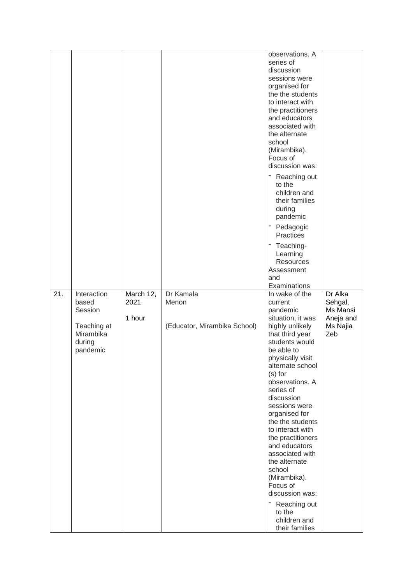|                 |                                                                                   |                             |                                                    | observations. A<br>series of<br>discussion<br>sessions were<br>organised for<br>the the students<br>to interact with<br>the practitioners<br>and educators<br>associated with<br>the alternate<br>school<br>(Mirambika).<br>Focus of<br>discussion was:<br>Reaching out<br>to the<br>children and<br>their families<br>during<br>pandemic<br>- Pedagogic<br>Practices<br>Teaching-<br>Learning<br><b>Resources</b><br>Assessment<br>and                                                                            |                                                                |
|-----------------|-----------------------------------------------------------------------------------|-----------------------------|----------------------------------------------------|--------------------------------------------------------------------------------------------------------------------------------------------------------------------------------------------------------------------------------------------------------------------------------------------------------------------------------------------------------------------------------------------------------------------------------------------------------------------------------------------------------------------|----------------------------------------------------------------|
|                 |                                                                                   |                             |                                                    | Examinations                                                                                                                                                                                                                                                                                                                                                                                                                                                                                                       |                                                                |
| $\overline{21}$ | Interaction<br>based<br>Session<br>Teaching at<br>Mirambika<br>during<br>pandemic | March 12,<br>2021<br>1 hour | Dr Kamala<br>Menon<br>(Educator, Mirambika School) | In wake of the<br>current<br>pandemic<br>situation, it was<br>highly unlikely<br>that third year<br>students would<br>be able to<br>physically visit<br>alternate school<br>$(s)$ for<br>observations. A<br>series of<br>discussion<br>sessions were<br>organised for<br>the the students<br>to interact with<br>the practitioners<br>and educators<br>associated with<br>the alternate<br>school<br>(Mirambika).<br>Focus of<br>discussion was:<br>Reaching out<br>Ξ.<br>to the<br>children and<br>their families | Dr Alka<br>Sehgal,<br>Ms Mansi<br>Aneja and<br>Ms Najia<br>Zeb |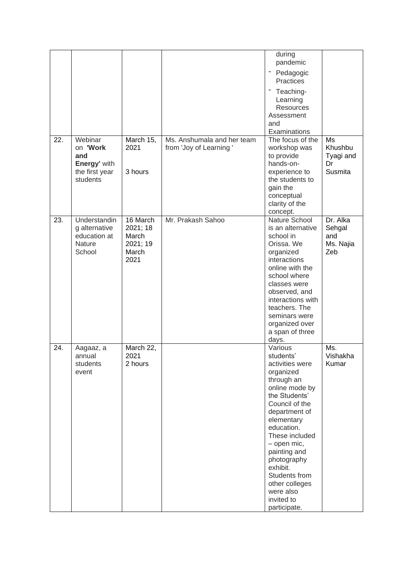| 22. | Webinar<br>on 'Work<br>and<br>Energy' with<br>the first year<br>students | March 15,<br>2021<br>3 hours                               | Ms. Anshumala and her team<br>from 'Joy of Learning' | during<br>pandemic<br>Pedagogic<br>٠<br>Practices<br>- Teaching-<br>Learning<br>Resources<br>Assessment<br>and<br>Examinations<br>The focus of the<br>workshop was<br>to provide<br>hands-on-<br>experience to<br>the students to                                                                                              | Ms<br>Khushbu<br>Tyagi and<br>Dr<br>Susmita   |
|-----|--------------------------------------------------------------------------|------------------------------------------------------------|------------------------------------------------------|--------------------------------------------------------------------------------------------------------------------------------------------------------------------------------------------------------------------------------------------------------------------------------------------------------------------------------|-----------------------------------------------|
|     |                                                                          |                                                            |                                                      | gain the<br>conceptual<br>clarity of the<br>concept.                                                                                                                                                                                                                                                                           |                                               |
| 23. | Understandin<br>g alternative<br>education at<br>Nature<br>School        | 16 March<br>2021; 18<br>March<br>2021; 19<br>March<br>2021 | Mr. Prakash Sahoo                                    | Nature School<br>is an alternative<br>school in<br>Orissa. We<br>organized<br>interactions<br>online with the<br>school where<br>classes were<br>observed, and<br>interactions with<br>teachers. The<br>seminars were<br>organized over<br>a span of three<br>days.                                                            | Dr. Alka<br>Sehgal<br>and<br>Ms. Najia<br>Zeb |
| 24. | Aagaaz, a<br>annual<br>students<br>event                                 | March 22,<br>2021<br>2 hours                               |                                                      | Various<br>students'<br>activities were<br>organized<br>through an<br>online mode by<br>the Students'<br>Council of the<br>department of<br>elementary<br>education.<br>These included<br>- open mic,<br>painting and<br>photography<br>exhibit.<br>Students from<br>other colleges<br>were also<br>invited to<br>participate. | Ms.<br>Vishakha<br>Kumar                      |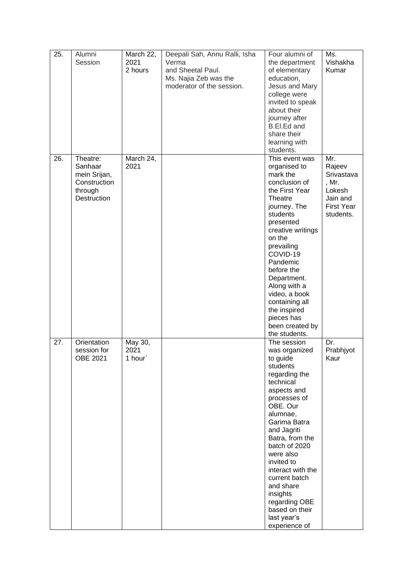| 25. | Alumni<br>Session                                                                    | March 22,<br>2021<br>2 hours | Deepali Sah, Annu Ralli, Isha<br>Verma<br>and Sheetal Paul.<br>Ms. Najia Zeb was the<br>moderator of the session. | Four alumni of<br>the department<br>of elementary<br>education,<br>Jesus and Mary<br>college were<br>invited to speak<br>about their<br>journey after<br><b>B.El.Ed and</b><br>share their<br>learning with<br>students.                                                                                                                                                  | Ms.<br>Vishakha<br>Kumar                                                                     |
|-----|--------------------------------------------------------------------------------------|------------------------------|-------------------------------------------------------------------------------------------------------------------|---------------------------------------------------------------------------------------------------------------------------------------------------------------------------------------------------------------------------------------------------------------------------------------------------------------------------------------------------------------------------|----------------------------------------------------------------------------------------------|
| 26. | Theatre:<br>Sanhaar<br>mein Srijan,<br>Construction<br>through<br><b>Destruction</b> | March 24,<br>2021            |                                                                                                                   | This event was<br>organised to<br>mark the<br>conclusion of<br>the First Year<br>Theatre<br>journey. The<br>students<br>presented<br>creative writings<br>on the<br>prevailing<br>COVID-19<br>Pandemic<br>before the<br>Department.<br>Along with a<br>video, a book<br>containing all<br>the inspired<br>pieces has<br>been created by<br>the students.                  | Mr.<br>Rajeev<br>Srivastava<br>, Mr.<br>Lokesh<br>Jain and<br><b>First Year</b><br>students. |
| 27. | Orientation<br>session for<br>OBE 2021                                               | May 30,<br>2021<br>1 hour`   |                                                                                                                   | The session<br>was organized<br>to guide<br>students<br>regarding the<br>technical<br>aspects and<br>processes of<br>OBE. Our<br>alumnae,<br>Garima Batra<br>and Jagriti<br>Batra, from the<br>batch of 2020<br>were also<br>invited to<br>interact with the<br>current batch<br>and share<br>insights<br>regarding OBE<br>based on their<br>last year's<br>experience of | Dr.<br>Prabhjyot<br>Kaur                                                                     |